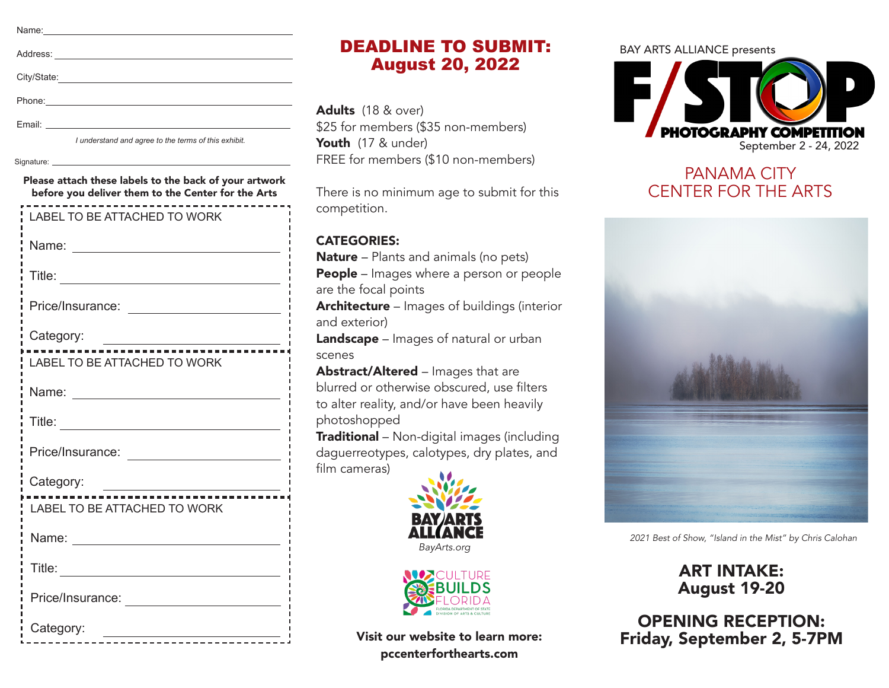| Name:                                                                                                                                                                                                                          |
|--------------------------------------------------------------------------------------------------------------------------------------------------------------------------------------------------------------------------------|
|                                                                                                                                                                                                                                |
| Address:                                                                                                                                                                                                                       |
|                                                                                                                                                                                                                                |
| City/State:                                                                                                                                                                                                                    |
| Phone: The Committee of the Committee of the Committee of the Committee of the Committee of the Committee of the Committee of the Committee of the Committee of the Committee of the Committee of the Committee of the Committ |
|                                                                                                                                                                                                                                |

| × |  |
|---|--|

*I understand and agree to the terms of this exhibit.*

Signature:

Please attach these labels to the back of your artwork before you deliver them to the Center for the Arts

| <b>LABEL TO BE ATTACHED TO WORK</b>             |
|-------------------------------------------------|
|                                                 |
|                                                 |
| Price/Insurance: <u>______________________</u>  |
| Category:                                       |
| <b>LABEL TO BE ATTACHED TO WORK</b>             |
| Name: ______________________________            |
|                                                 |
| Price/Insurance: <u>_______________________</u> |
| Category:                                       |
| LABEL TO BE ATTACHED TO WORK                    |
|                                                 |
|                                                 |
| Price/Insurance: <u>___________________</u>     |
| Category:                                       |

# DEADLINE TO SUBMIT: August 20, 2022

Adults (18 & over) \$25 for members (\$35 non-members) Youth (17 & under) FREE for members (\$10 non-members)

There is no minimum age to submit for this competition.

### CATEGORIES:

Nature – Plants and animals (no pets)

**People** – Images where a person or people are the focal points

Architecture – Images of buildings (interior and exterior)

Landscape – Images of natural or urban scenes

Abstract/Altered – Images that are blurred or otherwise obscured, use filters to alter reality, and/or have been heavily photoshopped

**Traditional** – Non-digital images (including daguerreotypes, calotypes, dry plates, and film cameras)





Visit our website to learn more: pccenterforthearts.com

#### BAY ARTS ALLIANCE presents



## PANAMA CITY CENTER FOR THE ARTS



*2021 Best of Show, "Island in the Mist" by Chris Calohan*

ART INTAKE: August 19-20

OPENING RECEPTION: Friday, September 2, 5-7PM